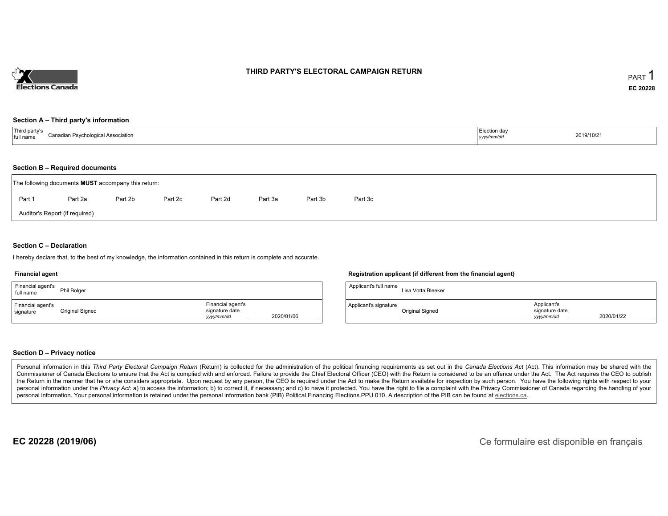

## **THIRD PARTY'S ELECTORAL CAMPAIGN RETURN**

#### **Section A – Third party's information**

| $^{\dagger}$ Third $\lota$<br>Canadian.<br>di Association.<br>.<br>SVCNOIOGI-<br>пап | Election da∖<br>, уууу | 2019/10/21 |
|--------------------------------------------------------------------------------------|------------------------|------------|
|--------------------------------------------------------------------------------------|------------------------|------------|

#### **Section B – Required documents**

| The following documents <b>MUST</b> accompany this return: |         |         |         |         |         |         |         |  |  |  |  |
|------------------------------------------------------------|---------|---------|---------|---------|---------|---------|---------|--|--|--|--|
| Part 1                                                     | Part 2a | Part 2b | Part 2c | Part 2d | Part 3a | Part 3b | Part 3c |  |  |  |  |
| Auditor's Report (if required)                             |         |         |         |         |         |         |         |  |  |  |  |

### **Section C – Declaration**

I hereby declare that, to the best of my knowledge, the information contained in this return is complete and accurate.

#### **Financial agent**

| Financial agent's<br>full name | Phil Bolger     |                                                   |            |
|--------------------------------|-----------------|---------------------------------------------------|------------|
| Financial agent's<br>signature | Original Signed | Financial agent's<br>signature date<br>yyyy/mm/dd | 2020/01/06 |

### **Registration applicant (if different from the financial agent)**

| Applicant's full name | Lisa Votta Bleeker |                                             |            |
|-----------------------|--------------------|---------------------------------------------|------------|
| Applicant's signature | Original Signed    | Applicant's<br>signature date<br>vyyy/mm/dd | 2020/01/22 |

### **Section D – Privacy notice**

Personal information in this Third Party Electoral Campaign Return (Return) is collected for the administration of the political financing requirements as set out in the Canada Elections Act (Act). This information may be Commissioner of Canada Elections to ensure that the Act is complied with and enforced. Failure to provide the Chief Electoral Officer (CEO) with the Return is considered to be an offence under the Act. The Act requires the the Return in the manner that he or she considers appropriate. Upon request by any person, the CEO is required under the Act to make the Return available for inspection by such person. You have the following rights with re personal information under the Privacy Act. a) to access the information; b) to correct it, if necessary; and c) to have it protected. You have the right to file a complaint with the Privacy Commissioner of Canada regardin personal information. Your personal information is retained under the personal information bank (PIB) Political Financing Elections PPU 010. A description of the PIB can be found at elections.ca.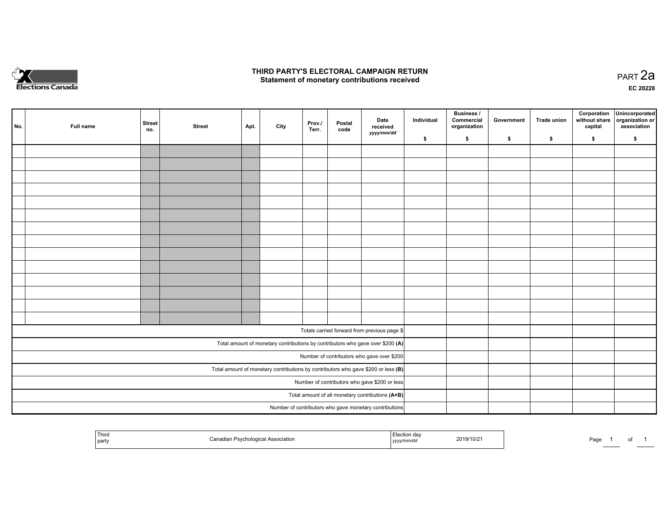

## **THIRD PARTY'S ELECTORAL CAMPAIGN RETURN HIRD PARTY'S ELECTORAL CAMPAIGN RETURN<br>Statement of monetary contributions received PART 2a PART 2a**

**EC 20228**

| No. | Full name | <b>Street</b><br>no.                                                                | <b>Street</b> | Apt. | City | Prov./<br>Terr. | Postal<br>code | Date<br>received                                                               | Individual | <b>Business /</b><br>Commercial<br>organization | Government | Trade union | Corporation<br>without share<br>capital | Unincorporated<br>organization or<br>association |
|-----|-----------|-------------------------------------------------------------------------------------|---------------|------|------|-----------------|----------------|--------------------------------------------------------------------------------|------------|-------------------------------------------------|------------|-------------|-----------------------------------------|--------------------------------------------------|
|     |           |                                                                                     |               |      |      |                 |                | yyyy/mm/dd                                                                     | \$         | \$                                              | \$         | \$          | \$                                      | \$                                               |
|     |           |                                                                                     |               |      |      |                 |                |                                                                                |            |                                                 |            |             |                                         |                                                  |
|     |           |                                                                                     |               |      |      |                 |                |                                                                                |            |                                                 |            |             |                                         |                                                  |
|     |           |                                                                                     |               |      |      |                 |                |                                                                                |            |                                                 |            |             |                                         |                                                  |
|     |           |                                                                                     |               |      |      |                 |                |                                                                                |            |                                                 |            |             |                                         |                                                  |
|     |           |                                                                                     |               |      |      |                 |                |                                                                                |            |                                                 |            |             |                                         |                                                  |
|     |           |                                                                                     |               |      |      |                 |                |                                                                                |            |                                                 |            |             |                                         |                                                  |
|     |           |                                                                                     |               |      |      |                 |                |                                                                                |            |                                                 |            |             |                                         |                                                  |
|     |           |                                                                                     |               |      |      |                 |                |                                                                                |            |                                                 |            |             |                                         |                                                  |
|     |           |                                                                                     |               |      |      |                 |                |                                                                                |            |                                                 |            |             |                                         |                                                  |
|     |           |                                                                                     |               |      |      |                 |                |                                                                                |            |                                                 |            |             |                                         |                                                  |
|     |           |                                                                                     |               |      |      |                 |                |                                                                                |            |                                                 |            |             |                                         |                                                  |
|     |           |                                                                                     |               |      |      |                 |                |                                                                                |            |                                                 |            |             |                                         |                                                  |
|     |           |                                                                                     |               |      |      |                 |                |                                                                                |            |                                                 |            |             |                                         |                                                  |
|     |           |                                                                                     |               |      |      |                 |                |                                                                                |            |                                                 |            |             |                                         |                                                  |
|     |           |                                                                                     |               |      |      |                 |                | Totals carried forward from previous page \$                                   |            |                                                 |            |             |                                         |                                                  |
|     |           |                                                                                     |               |      |      |                 |                | Total amount of monetary contributions by contributors who gave over \$200 (A) |            |                                                 |            |             |                                         |                                                  |
|     |           |                                                                                     |               |      |      |                 |                | Number of contributors who gave over \$200                                     |            |                                                 |            |             |                                         |                                                  |
|     |           | Total amount of monetary contributions by contributors who gave \$200 or less $(B)$ |               |      |      |                 |                |                                                                                |            |                                                 |            |             |                                         |                                                  |
|     |           | Number of contributors who gave \$200 or less                                       |               |      |      |                 |                |                                                                                |            |                                                 |            |             |                                         |                                                  |
|     |           | Total amount of all monetary contributions (A+B)                                    |               |      |      |                 |                |                                                                                |            |                                                 |            |             |                                         |                                                  |
|     |           |                                                                                     |               |      |      |                 |                | Number of contributors who gave monetary contributions                         |            |                                                 |            |             |                                         |                                                  |

| Third<br>party | Association | aa<br>.<br>,,,,, | 2019/10/2 | Page |  |  |  |
|----------------|-------------|------------------|-----------|------|--|--|--|
|----------------|-------------|------------------|-----------|------|--|--|--|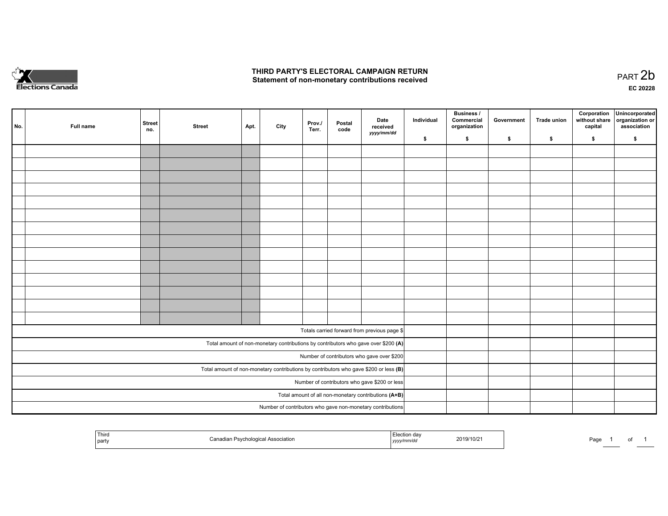

## **THIRD PARTY'S ELECTORAL CAMPAIGN RETURN**  THIRD PARTY'S ELECTORAL CAMPAIGN RETURN<br>Statement of non-monetary contributions received

of 1

| No.                                                                                     | Full name | <b>Street</b><br>no.                                 | <b>Street</b> | Apt. | City | Prov./<br>Terr. | Postal<br>code | Date<br>received<br>yyyy/mm/dd                                                     | Individual | <b>Business /</b><br>Commercial<br>organization | Government | Trade union | Corporation<br>without share<br>capital | Unincorporated<br>organization or<br>association |
|-----------------------------------------------------------------------------------------|-----------|------------------------------------------------------|---------------|------|------|-----------------|----------------|------------------------------------------------------------------------------------|------------|-------------------------------------------------|------------|-------------|-----------------------------------------|--------------------------------------------------|
|                                                                                         |           |                                                      |               |      |      |                 |                |                                                                                    | \$         | \$                                              | \$         | \$          | \$                                      | \$                                               |
|                                                                                         |           |                                                      |               |      |      |                 |                |                                                                                    |            |                                                 |            |             |                                         |                                                  |
|                                                                                         |           |                                                      |               |      |      |                 |                |                                                                                    |            |                                                 |            |             |                                         |                                                  |
|                                                                                         |           |                                                      |               |      |      |                 |                |                                                                                    |            |                                                 |            |             |                                         |                                                  |
|                                                                                         |           |                                                      |               |      |      |                 |                |                                                                                    |            |                                                 |            |             |                                         |                                                  |
|                                                                                         |           |                                                      |               |      |      |                 |                |                                                                                    |            |                                                 |            |             |                                         |                                                  |
|                                                                                         |           |                                                      |               |      |      |                 |                |                                                                                    |            |                                                 |            |             |                                         |                                                  |
|                                                                                         |           |                                                      |               |      |      |                 |                |                                                                                    |            |                                                 |            |             |                                         |                                                  |
|                                                                                         |           |                                                      |               |      |      |                 |                |                                                                                    |            |                                                 |            |             |                                         |                                                  |
|                                                                                         |           |                                                      |               |      |      |                 |                |                                                                                    |            |                                                 |            |             |                                         |                                                  |
|                                                                                         |           |                                                      |               |      |      |                 |                |                                                                                    |            |                                                 |            |             |                                         |                                                  |
|                                                                                         |           |                                                      |               |      |      |                 |                |                                                                                    |            |                                                 |            |             |                                         |                                                  |
|                                                                                         |           |                                                      |               |      |      |                 |                |                                                                                    |            |                                                 |            |             |                                         |                                                  |
|                                                                                         |           |                                                      |               |      |      |                 |                |                                                                                    |            |                                                 |            |             |                                         |                                                  |
|                                                                                         |           |                                                      |               |      |      |                 |                |                                                                                    |            |                                                 |            |             |                                         |                                                  |
|                                                                                         |           |                                                      |               |      |      |                 |                |                                                                                    |            |                                                 |            |             |                                         |                                                  |
|                                                                                         |           |                                                      |               |      |      |                 |                | Totals carried forward from previous page \$                                       |            |                                                 |            |             |                                         |                                                  |
|                                                                                         |           |                                                      |               |      |      |                 |                | Total amount of non-monetary contributions by contributors who gave over \$200 (A) |            |                                                 |            |             |                                         |                                                  |
|                                                                                         |           |                                                      |               |      |      |                 |                | Number of contributors who gave over \$200                                         |            |                                                 |            |             |                                         |                                                  |
| Total amount of non-monetary contributions by contributors who gave \$200 or less $(B)$ |           |                                                      |               |      |      |                 |                |                                                                                    |            |                                                 |            |             |                                         |                                                  |
| Number of contributors who gave \$200 or less                                           |           |                                                      |               |      |      |                 |                |                                                                                    |            |                                                 |            |             |                                         |                                                  |
|                                                                                         |           | Total amount of all non-monetary contributions (A+B) |               |      |      |                 |                |                                                                                    |            |                                                 |            |             |                                         |                                                  |
|                                                                                         |           |                                                      |               |      |      |                 |                | Number of contributors who gave non-monetary contributions                         |            |                                                 |            |             |                                         |                                                  |
|                                                                                         |           |                                                      |               |      |      |                 |                |                                                                                    |            |                                                 |            |             |                                         |                                                  |

| ' Thira<br>S<br>party | Association<br>า Psvchological<br>รงเส | Elootion<br>$\sim$<br>$-$ n ma $/$ m -<br>, yyyymmaa | 2019/10/2 | Doc<br>'au<br>. . |  |
|-----------------------|----------------------------------------|------------------------------------------------------|-----------|-------------------|--|
|-----------------------|----------------------------------------|------------------------------------------------------|-----------|-------------------|--|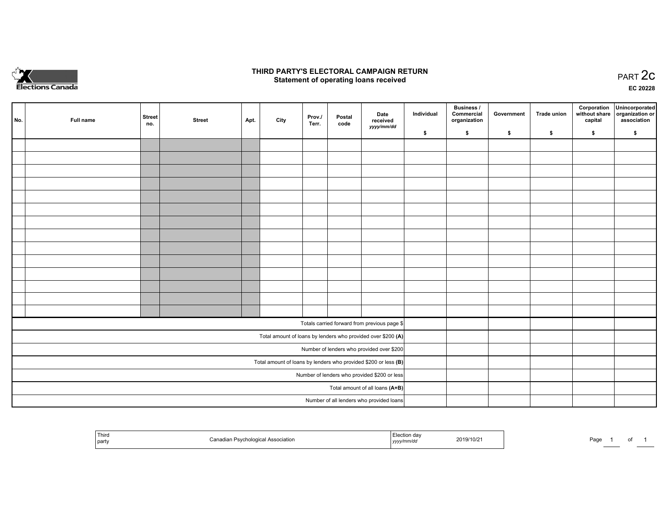

## **THIRD PARTY'S ELECTORAL CAMPAIGN RETURN STATE:** PRACT OF OPPRESS TO PART SELECTORAL CAMPAIGN RETURN<br>
Statement of operating loans received

**EC 20228**

| No.                                                             | Full name | <b>Street</b><br>no. | <b>Street</b> | Apt. | City | Prov./<br>Terr. | Postal<br>code | Date<br>received                                             | Individual | <b>Business /</b><br>Commercial<br>organization | Government | <b>Trade union</b> | Corporation<br>capital | Unincorporated<br>without share organization or<br>association |
|-----------------------------------------------------------------|-----------|----------------------|---------------|------|------|-----------------|----------------|--------------------------------------------------------------|------------|-------------------------------------------------|------------|--------------------|------------------------|----------------------------------------------------------------|
|                                                                 |           |                      |               |      |      |                 |                | yyyy/mm/dd                                                   | \$         | \$                                              | \$         | \$                 | \$                     | \$                                                             |
|                                                                 |           |                      |               |      |      |                 |                |                                                              |            |                                                 |            |                    |                        |                                                                |
|                                                                 |           |                      |               |      |      |                 |                |                                                              |            |                                                 |            |                    |                        |                                                                |
|                                                                 |           |                      |               |      |      |                 |                |                                                              |            |                                                 |            |                    |                        |                                                                |
|                                                                 |           |                      |               |      |      |                 |                |                                                              |            |                                                 |            |                    |                        |                                                                |
|                                                                 |           |                      |               |      |      |                 |                |                                                              |            |                                                 |            |                    |                        |                                                                |
|                                                                 |           |                      |               |      |      |                 |                |                                                              |            |                                                 |            |                    |                        |                                                                |
|                                                                 |           |                      |               |      |      |                 |                |                                                              |            |                                                 |            |                    |                        |                                                                |
|                                                                 |           |                      |               |      |      |                 |                |                                                              |            |                                                 |            |                    |                        |                                                                |
|                                                                 |           |                      |               |      |      |                 |                |                                                              |            |                                                 |            |                    |                        |                                                                |
|                                                                 |           |                      |               |      |      |                 |                |                                                              |            |                                                 |            |                    |                        |                                                                |
|                                                                 |           |                      |               |      |      |                 |                |                                                              |            |                                                 |            |                    |                        |                                                                |
|                                                                 |           |                      |               |      |      |                 |                |                                                              |            |                                                 |            |                    |                        |                                                                |
|                                                                 |           |                      |               |      |      |                 |                |                                                              |            |                                                 |            |                    |                        |                                                                |
|                                                                 |           |                      |               |      |      |                 |                |                                                              |            |                                                 |            |                    |                        |                                                                |
|                                                                 |           |                      |               |      |      |                 |                | Totals carried forward from previous page \$                 |            |                                                 |            |                    |                        |                                                                |
|                                                                 |           |                      |               |      |      |                 |                | Total amount of loans by lenders who provided over \$200 (A) |            |                                                 |            |                    |                        |                                                                |
|                                                                 |           |                      |               |      |      |                 |                | Number of lenders who provided over \$200                    |            |                                                 |            |                    |                        |                                                                |
| Total amount of loans by lenders who provided \$200 or less (B) |           |                      |               |      |      |                 |                |                                                              |            |                                                 |            |                    |                        |                                                                |
| Number of lenders who provided \$200 or less                    |           |                      |               |      |      |                 |                |                                                              |            |                                                 |            |                    |                        |                                                                |
| Total amount of all loans (A+B)                                 |           |                      |               |      |      |                 |                |                                                              |            |                                                 |            |                    |                        |                                                                |
|                                                                 |           |                      |               |      |      |                 |                | Number of all lenders who provided loans                     |            |                                                 |            |                    |                        |                                                                |

| Third<br>in Psychological Association<br>party | 2019/10/21<br>,,,,, | Page |
|------------------------------------------------|---------------------|------|
|------------------------------------------------|---------------------|------|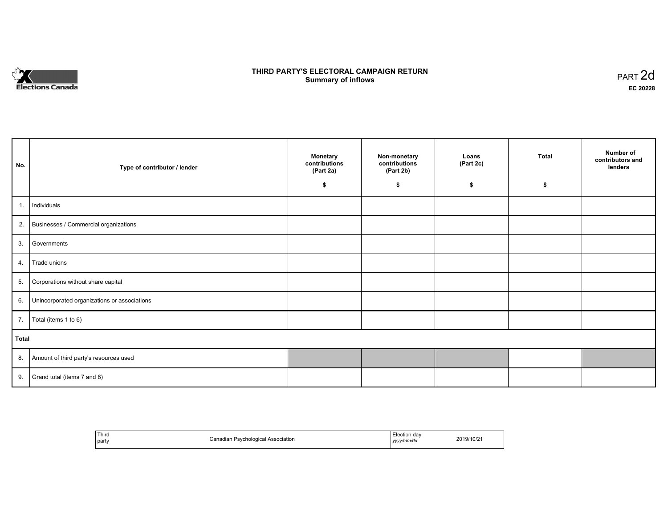

# **THIRD PARTY'S ELECTORAL CAMPAIGN RETURN S** ELECTORAL CAMPAIGN RETURN<br>Summary of inflows PART 2d

| No.   | Type of contributor / lender                    | <b>Monetary</b><br>contributions<br>(Part 2a)<br>\$ | Non-monetary<br>contributions<br>(Part 2b)<br>\$ | Loans<br>(Part 2c)<br>\$ | <b>Total</b><br>s. | Number of<br>contributors and<br>lenders |
|-------|-------------------------------------------------|-----------------------------------------------------|--------------------------------------------------|--------------------------|--------------------|------------------------------------------|
|       |                                                 |                                                     |                                                  |                          |                    |                                          |
| 1.    | Individuals                                     |                                                     |                                                  |                          |                    |                                          |
|       | 2. Businesses / Commercial organizations        |                                                     |                                                  |                          |                    |                                          |
| 3.    | Governments                                     |                                                     |                                                  |                          |                    |                                          |
| 4.    | Trade unions                                    |                                                     |                                                  |                          |                    |                                          |
| 5.    | Corporations without share capital              |                                                     |                                                  |                          |                    |                                          |
|       | 6. Unincorporated organizations or associations |                                                     |                                                  |                          |                    |                                          |
|       | 7.   Total (items 1 to 6)                       |                                                     |                                                  |                          |                    |                                          |
| Total |                                                 |                                                     |                                                  |                          |                    |                                          |
|       | 8. Amount of third party's resources used       |                                                     |                                                  |                          |                    |                                          |
| 9.    | Grand total (items 7 and 8)                     |                                                     |                                                  |                          |                    |                                          |

| Third<br>___<br>  party | <b>Psychological Association</b><br>Canadian | Election day<br>yyyy/mm/dd | 2019/10/21 |
|-------------------------|----------------------------------------------|----------------------------|------------|
|-------------------------|----------------------------------------------|----------------------------|------------|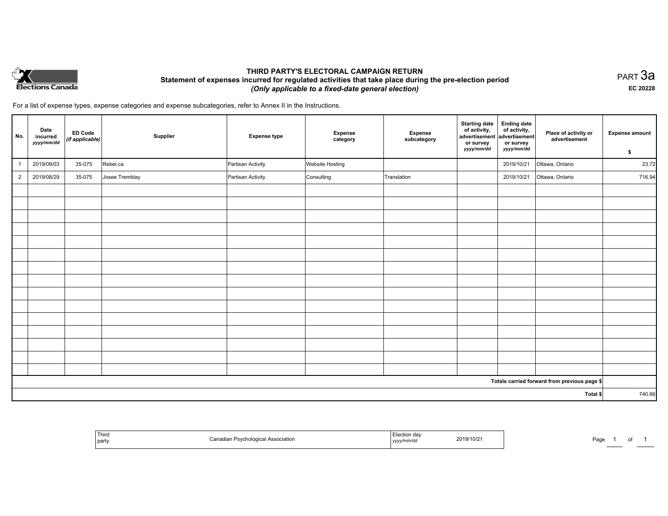

# **THIRD PARTY'S ELECTORAL CAMPAIGN RETURN Statement of expenses incurred for regulated activities that take place during the pre-election period**  *(Only applicable to a fixed-date general election)*

PART 3a **EC 20228**

For a list of expense types, expense categories and expense subcategories, refer to Annex II in the Instructions.

| No.            | Date<br>incurred<br>yyyy/mm/dd | ED Code<br>$\vert$ (if applicable) $\vert$ | Supplier       | <b>Expense type</b> | <b>Expense</b><br>category | Expense<br>subcategory | <b>Starting date</b><br>of activity,<br>advertisement<br>or survey<br>yyyy/mm/dd | <b>Ending date</b><br>of activity,<br>advertisement<br>or survey<br>yyyy/mm/dd | Place of activity or<br>advertisement        | <b>Expense amount</b><br>\$ |
|----------------|--------------------------------|--------------------------------------------|----------------|---------------------|----------------------------|------------------------|----------------------------------------------------------------------------------|--------------------------------------------------------------------------------|----------------------------------------------|-----------------------------|
| $\overline{1}$ | 2019/09/03                     | 35-075                                     | Rebel.ca       | Partisan Activity   | Website Hosting            |                        |                                                                                  | 2019/10/21                                                                     | Ottawa, Ontario                              | 23.72                       |
| $\overline{2}$ | 2019/08/29                     | 35-075                                     | Josee Tremblay | Partisan Activity   | Consulting                 | Translation            |                                                                                  | 2019/10/21                                                                     | Ottawa, Ontario                              | 716.94                      |
|                |                                |                                            |                |                     |                            |                        |                                                                                  |                                                                                |                                              |                             |
|                |                                |                                            |                |                     |                            |                        |                                                                                  |                                                                                |                                              |                             |
|                |                                |                                            |                |                     |                            |                        |                                                                                  |                                                                                |                                              |                             |
|                |                                |                                            |                |                     |                            |                        |                                                                                  |                                                                                |                                              |                             |
|                |                                |                                            |                |                     |                            |                        |                                                                                  |                                                                                |                                              |                             |
|                |                                |                                            |                |                     |                            |                        |                                                                                  |                                                                                |                                              |                             |
|                |                                |                                            |                |                     |                            |                        |                                                                                  |                                                                                |                                              |                             |
|                |                                |                                            |                |                     |                            |                        |                                                                                  |                                                                                |                                              |                             |
|                |                                |                                            |                |                     |                            |                        |                                                                                  |                                                                                |                                              |                             |
|                |                                |                                            |                |                     |                            |                        |                                                                                  |                                                                                |                                              |                             |
|                |                                |                                            |                |                     |                            |                        |                                                                                  |                                                                                |                                              |                             |
|                |                                |                                            |                |                     |                            |                        |                                                                                  |                                                                                |                                              |                             |
|                |                                |                                            |                |                     |                            |                        |                                                                                  |                                                                                |                                              |                             |
|                |                                |                                            |                |                     |                            |                        |                                                                                  |                                                                                |                                              |                             |
|                |                                |                                            |                |                     |                            |                        |                                                                                  |                                                                                |                                              |                             |
|                |                                |                                            |                |                     |                            |                        |                                                                                  |                                                                                | Totals carried forward from previous page \$ |                             |
|                |                                |                                            |                |                     |                            |                        |                                                                                  |                                                                                | Total \$                                     | 740.66                      |

| ' Thiro<br>j part | ுn Psychological Association<br>$\ddot{\phantom{0}}$<br>van | 2019/10/2 <sup>-</sup><br>.<br>$\alpha$ class and $\alpha$<br><u>  yyyy</u> | Pagr |
|-------------------|-------------------------------------------------------------|-----------------------------------------------------------------------------|------|
|-------------------|-------------------------------------------------------------|-----------------------------------------------------------------------------|------|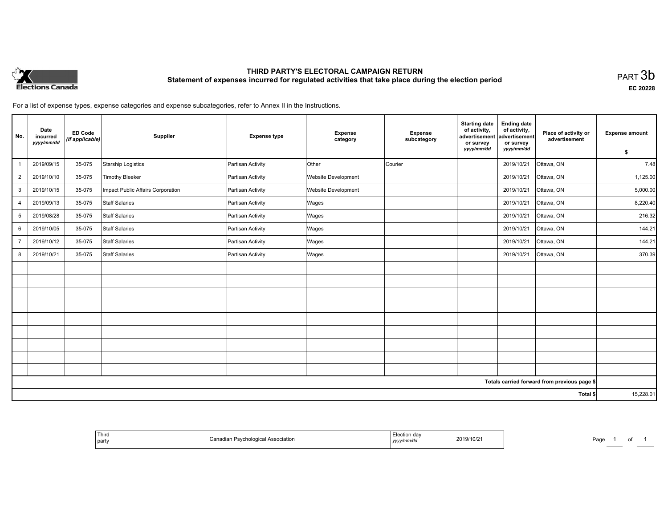

# **THIRD PARTY'S ELECTORAL CAMPAIGN RETURN Statement of expenses incurred for regulated activities that take place during the election period**<br>PART  $3\mathsf{b}$

**EC 20228**

For a list of expense types, expense categories and expense subcategories, refer to Annex II in the Instructions.

| No.            | Date<br>incurred<br>yyyy/mm/dd | <b>ED Code</b><br>(if applicable) | Supplier                          | <b>Expense type</b> | <b>Expense</b><br>category | <b>Expense</b><br>subcategory | <b>Starting date</b><br>of activity,<br>advertisement<br>or survey<br>yyyy/mm/dd | <b>Ending date</b><br>of activity,<br>advertisement<br>or survey<br>yyyy/mm/dd | Place of activity or<br>advertisement        | <b>Expense amount</b><br>\$ |
|----------------|--------------------------------|-----------------------------------|-----------------------------------|---------------------|----------------------------|-------------------------------|----------------------------------------------------------------------------------|--------------------------------------------------------------------------------|----------------------------------------------|-----------------------------|
|                | 2019/09/15                     | 35-075                            | Starship Logistics                | Partisan Activity   | Other                      | Courier                       |                                                                                  | 2019/10/21                                                                     | Ottawa, ON                                   | 7.48                        |
| $\overline{2}$ | 2019/10/10                     | 35-075                            | <b>Timothy Bleeker</b>            | Partisan Activity   | Website Development        |                               |                                                                                  | 2019/10/21                                                                     | Ottawa, ON                                   | 1,125.00                    |
| 3              | 2019/10/15                     | 35-075                            | Impact Public Affairs Corporation | Partisan Activity   | <b>Website Development</b> |                               |                                                                                  | 2019/10/21                                                                     | Ottawa, ON                                   | 5,000.00                    |
| 4              | 2019/09/13                     | 35-075                            | <b>Staff Salaries</b>             | Partisan Activity   | Wages                      |                               |                                                                                  | 2019/10/21                                                                     | Ottawa, ON                                   | 8,220.40                    |
| 5              | 2019/08/28                     | 35-075                            | <b>Staff Salaries</b>             | Partisan Activity   | Wages                      |                               |                                                                                  | 2019/10/21                                                                     | Ottawa, ON                                   | 216.32                      |
| 6              | 2019/10/05                     | 35-075                            | <b>Staff Salaries</b>             | Partisan Activity   | Wages                      |                               |                                                                                  | 2019/10/21                                                                     | Ottawa, ON                                   | 144.21                      |
| $\overline{7}$ | 2019/10/12                     | 35-075                            | <b>Staff Salaries</b>             | Partisan Activity   | Wages                      |                               |                                                                                  | 2019/10/21                                                                     | Ottawa, ON                                   | 144.21                      |
| 8              | 2019/10/21                     | 35-075                            | <b>Staff Salaries</b>             | Partisan Activity   | Wages                      |                               |                                                                                  | 2019/10/21                                                                     | Ottawa, ON                                   | 370.39                      |
|                |                                |                                   |                                   |                     |                            |                               |                                                                                  |                                                                                |                                              |                             |
|                |                                |                                   |                                   |                     |                            |                               |                                                                                  |                                                                                |                                              |                             |
|                |                                |                                   |                                   |                     |                            |                               |                                                                                  |                                                                                |                                              |                             |
|                |                                |                                   |                                   |                     |                            |                               |                                                                                  |                                                                                |                                              |                             |
|                |                                |                                   |                                   |                     |                            |                               |                                                                                  |                                                                                |                                              |                             |
|                |                                |                                   |                                   |                     |                            |                               |                                                                                  |                                                                                |                                              |                             |
|                |                                |                                   |                                   |                     |                            |                               |                                                                                  |                                                                                |                                              |                             |
|                |                                |                                   |                                   |                     |                            |                               |                                                                                  |                                                                                |                                              |                             |
|                |                                |                                   |                                   |                     |                            |                               |                                                                                  |                                                                                |                                              |                             |
|                |                                |                                   |                                   |                     |                            |                               |                                                                                  |                                                                                | Totals carried forward from previous page \$ |                             |
|                |                                |                                   |                                   |                     |                            |                               |                                                                                  |                                                                                | Total \$                                     | 15,228.01                   |

| Third<br>Election day<br>2019/10/21<br>Canadian Psychological Association<br>party<br>yyyy/mm/dd |
|--------------------------------------------------------------------------------------------------|
|--------------------------------------------------------------------------------------------------|

Page 1 of 1